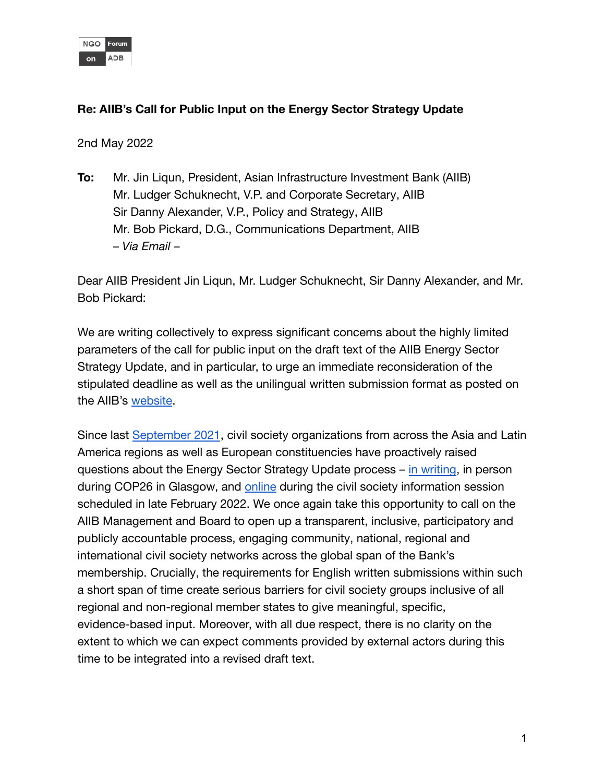|    | Forum |
|----|-------|
| on |       |

## **Re: AIIB's Call for Public Input on the Energy Sector Strategy Update**

2nd May 2022

**To:** Mr. Jin Liqun, President, Asian Infrastructure Investment Bank (AIIB) Mr. Ludger Schuknecht, V.P. and Corporate Secretary, AIIB Sir Danny Alexander, V.P., Policy and Strategy, AIIB Mr. Bob Pickard, D.G., Communications Department, AIIB – *Via Email* –

Dear AIIB President Jin Liqun, Mr. Ludger Schuknecht, Sir Danny Alexander, and Mr. Bob Pickard:

We are writing collectively to express significant concerns about the highly limited parameters of the call for public input on the draft text of the AIIB Energy Sector Strategy Update, and in particular, to urge an immediate reconsideration of the stipulated deadline as well as the unilingual written submission format as posted on the AIIB's [website](https://www.aiib.org/en/how-we-work/public-consultations/energy-sector-strategy-update/index.html).

Since last [September 2021](https://www.forum-adb.org/post/key-issues-of-concern-regarding-aiib-annual-meeting-2021-letter), civil society organizations from across the Asia and Latin America regions as well as European constituencies have proactively raised questions about the Energy Sector Strategy Update process – [in writing](https://www.forum-adb.org/post/follow-up-correspondence-concerning-the-2022-energy-sector-strategy-update), in person during COP26 in Glasgow, and [online](https://www.forum-adb.org/post/collective-call-for-a-new-forward-looking-aiib-energy-sector-strategy) during the civil society information session scheduled in late February 2022. We once again take this opportunity to call on the AIIB Management and Board to open up a transparent, inclusive, participatory and publicly accountable process, engaging community, national, regional and international civil society networks across the global span of the Bank's membership. Crucially, the requirements for English written submissions within such a short span of time create serious barriers for civil society groups inclusive of all regional and non-regional member states to give meaningful, specific, evidence-based input. Moreover, with all due respect, there is no clarity on the extent to which we can expect comments provided by external actors during this time to be integrated into a revised draft text.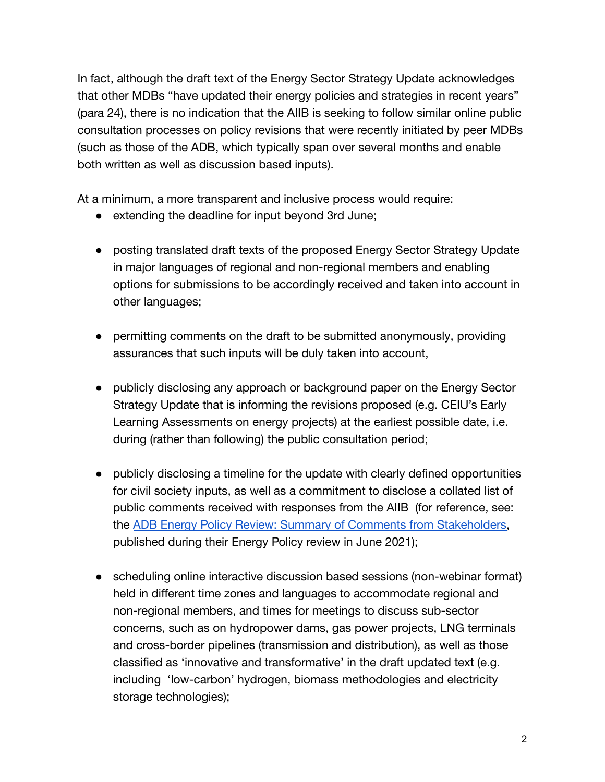In fact, although the draft text of the Energy Sector Strategy Update acknowledges that other MDBs "have updated their energy policies and strategies in recent years" (para 24), there is no indication that the AIIB is seeking to follow similar online public consultation processes on policy revisions that were recently initiated by peer MDBs (such as those of the ADB, which typically span over several months and enable both written as well as discussion based inputs).

At a minimum, a more transparent and inclusive process would require:

- extending the deadline for input beyond 3rd June;
- posting translated draft texts of the proposed Energy Sector Strategy Update in major languages of regional and non-regional members and enabling options for submissions to be accordingly received and taken into account in other languages;
- permitting comments on the draft to be submitted anonymously, providing assurances that such inputs will be duly taken into account,
- publicly disclosing any approach or background paper on the Energy Sector Strategy Update that is informing the revisions proposed (e.g. CEIU's Early Learning Assessments on energy projects) at the earliest possible date, i.e. during (rather than following) the public consultation period;
- publicly disclosing a timeline for the update with clearly defined opportunities for civil society inputs, as well as a commitment to disclose a collated list of public comments received with responses from the AIIB (for reference, see: the [ADB Energy Policy Review: Summary of Comments](https://www.adb.org/sites/default/files/page/571356/adb-energy-policy-review-comment-matrix-stakeholder-consultation-2021-07-15.pdf) from Stakeholders, published during their Energy Policy review in June 2021);
- scheduling online interactive discussion based sessions (non-webinar format) held in different time zones and languages to accommodate regional and non-regional members, and times for meetings to discuss sub-sector concerns, such as on hydropower dams, gas power projects, LNG terminals and cross-border pipelines (transmission and distribution), as well as those classified as 'innovative and transformative' in the draft updated text (e.g. including 'low-carbon' hydrogen, biomass methodologies and electricity storage technologies);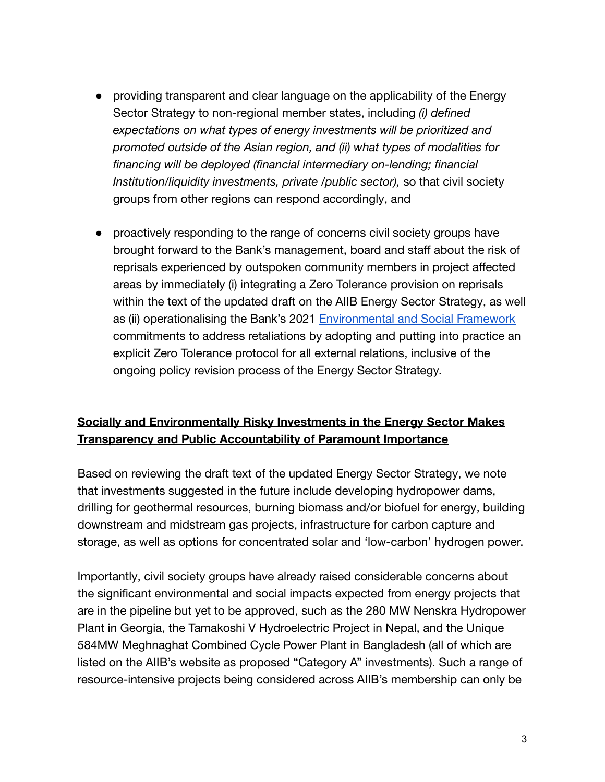- providing transparent and clear language on the applicability of the Energy Sector Strategy to non-regional member states, including *(i) defined expectations on what types of energy investments will be prioritized and promoted outside of the Asian region, and (ii) what types of modalities for financing will be deployed (financial intermediary on-lending; financial Institution/liquidity investments, private /public sector),* so that civil society groups from other regions can respond accordingly, and
- proactively responding to the range of concerns civil society groups have brought forward to the Bank's management, board and staff about the risk of reprisals experienced by outspoken community members in project affected areas by immediately (i) integrating a Zero Tolerance provision on reprisals within the text of the updated draft on the AIIB Energy Sector Strategy, as well as (ii) operationalising the Bank's 2021 Environmental [and Social Framework](https://www.aiib.org/en/policies-strategies/_download/environment-framework/AIIB-Revised-Environmental-and-Social-Framework-ESF-May-2021-final.pdf) commitments to address retaliations by adopting and putting into practice an explicit Zero Tolerance protocol for all external relations, inclusive of the ongoing policy revision process of the Energy Sector Strategy.

## **Socially and Environmentally Risky Investments in the Energy Sector Makes Transparency and Public Accountability of Paramount Importance**

Based on reviewing the draft text of the updated Energy Sector Strategy, we note that investments suggested in the future include developing hydropower dams, drilling for geothermal resources, burning biomass and/or biofuel for energy, building downstream and midstream gas projects, infrastructure for carbon capture and storage, as well as options for concentrated solar and 'low-carbon' hydrogen power.

Importantly, civil society groups have already raised considerable concerns about the significant environmental and social impacts expected from energy projects that are in the pipeline but yet to be approved, such as the 280 MW Nenskra Hydropower Plant in Georgia, the Tamakoshi V Hydroelectric Project in Nepal, and the Unique 584MW Meghnaghat Combined Cycle Power Plant in Bangladesh (all of which are listed on the AIIB's website as proposed "Category A" investments). Such a range of resource-intensive projects being considered across AIIB's membership can only be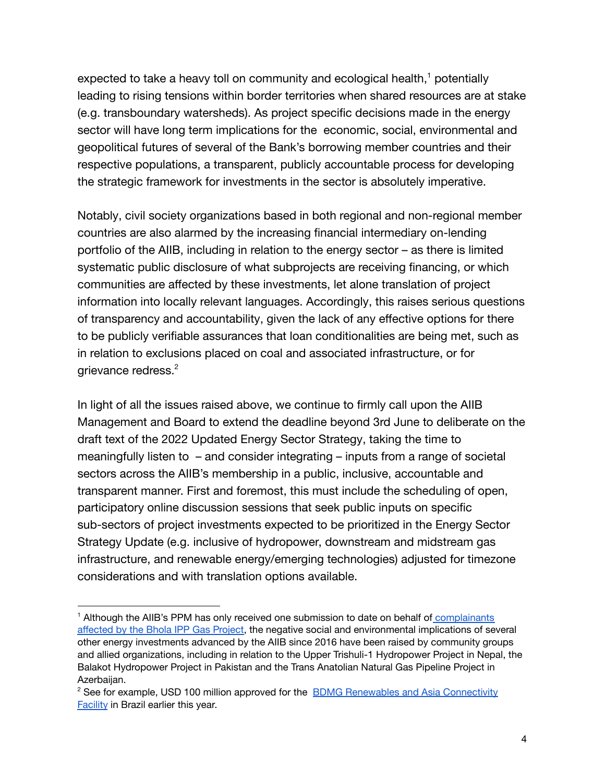expected to take a heavy toll on community and ecological health, $<sup>1</sup>$  potentially</sup> leading to rising tensions within border territories when shared resources are at stake (e.g. transboundary watersheds). As project specific decisions made in the energy sector will have long term implications for the economic, social, environmental and geopolitical futures of several of the Bank's borrowing member countries and their respective populations, a transparent, publicly accountable process for developing the strategic framework for investments in the sector is absolutely imperative.

Notably, civil society organizations based in both regional and non-regional member countries are also alarmed by the increasing financial intermediary on-lending portfolio of the AIIB, including in relation to the energy sector – as there is limited systematic public disclosure of what subprojects are receiving financing, or which communities are affected by these investments, let alone translation of project information into locally relevant languages. Accordingly, this raises serious questions of transparency and accountability, given the lack of any effective options for there to be publicly verifiable assurances that loan conditionalities are being met, such as in relation to exclusions placed on coal and associated infrastructure, or for grievance redress.<sup>2</sup>

In light of all the issues raised above, we continue to firmly call upon the AIIB Management and Board to extend the deadline beyond 3rd June to deliberate on the draft text of the 2022 Updated Energy Sector Strategy, taking the time to meaningfully listen to – and consider integrating – inputs from a range of societal sectors across the AIIB's membership in a public, inclusive, accountable and transparent manner. First and foremost, this must include the scheduling of open, participatory online discussion sessions that seek public inputs on specific sub-sectors of project investments expected to be prioritized in the Energy Sector Strategy Update (e.g. inclusive of hydropower, downstream and midstream gas infrastructure, and renewable energy/emerging technologies) adjusted for timezone considerations and with translation options available.

<sup>&</sup>lt;sup>1</sup> Although the AIIB's PPM has only received one submission to date on behalf of [complainants](https://www.newagebd.net/article/167724/aiib-accused-of-harming-environment) [affected](https://www.newagebd.net/article/167724/aiib-accused-of-harming-environment) by the Bhola IPP Gas Project, the negative social and environmental implications of several other energy investments advanced by the AIIB since 2016 have been raised by community groups and allied organizations, including in relation to the Upper Trishuli-1 Hydropower Project in Nepal, the Balakot Hydropower Project in Pakistan and the Trans Anatolian Natural Gas Pipeline Project in Azerbaijan.

<sup>&</sup>lt;sup>2</sup> See for example, USD 100 million approved for the **BDMG Renewables and Asia [Connectivity](https://www.aiib.org/en/projects/details/2022/approved/BDMG-Renewables-and-Asia-Connectivity-Facility.html)** [Facility](https://www.aiib.org/en/projects/details/2022/approved/BDMG-Renewables-and-Asia-Connectivity-Facility.html) in Brazil earlier this year.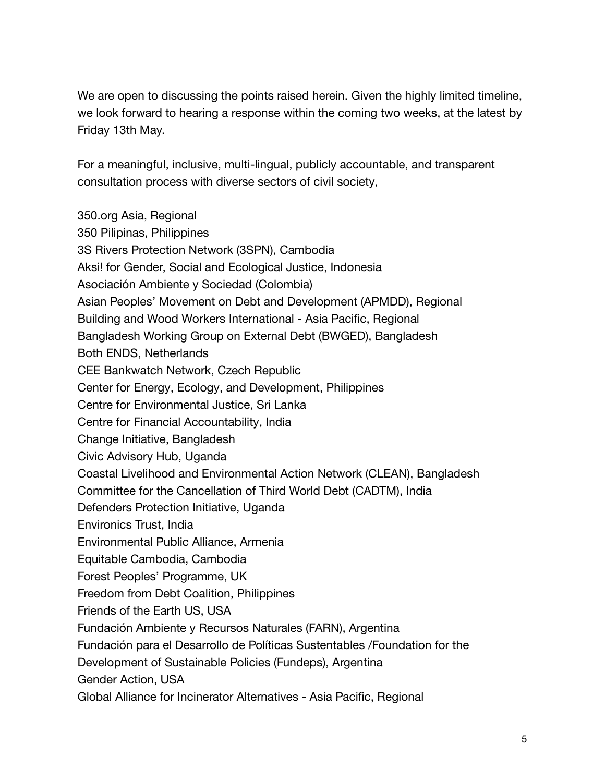We are open to discussing the points raised herein. Given the highly limited timeline, we look forward to hearing a response within the coming two weeks, at the latest by Friday 13th May.

For a meaningful, inclusive, multi-lingual, publicly accountable, and transparent consultation process with diverse sectors of civil society,

350.org Asia, Regional 350 Pilipinas, Philippines 3S Rivers Protection Network (3SPN), Cambodia Aksi! for Gender, Social and Ecological Justice, Indonesia Asociación Ambiente y Sociedad (Colombia) Asian Peoples' Movement on Debt and Development (APMDD), Regional Building and Wood Workers International - Asia Pacific, Regional Bangladesh Working Group on External Debt (BWGED), Bangladesh Both ENDS, Netherlands CEE Bankwatch Network, Czech Republic Center for Energy, Ecology, and Development, Philippines Centre for Environmental Justice, Sri Lanka Centre for Financial Accountability, India Change Initiative, Bangladesh Civic Advisory Hub, Uganda Coastal Livelihood and Environmental Action Network (CLEAN), Bangladesh Committee for the Cancellation of Third World Debt (CADTM), India Defenders Protection Initiative, Uganda Environics Trust, India Environmental Public Alliance, Armenia Equitable Cambodia, Cambodia Forest Peoples' Programme, UK Freedom from Debt Coalition, Philippines Friends of the Earth US, USA Fundación Ambiente y Recursos Naturales (FARN), Argentina Fundación para el Desarrollo de Políticas Sustentables /Foundation for the Development of Sustainable Policies (Fundeps), Argentina Gender Action, USA Global Alliance for Incinerator Alternatives - Asia Pacific, Regional